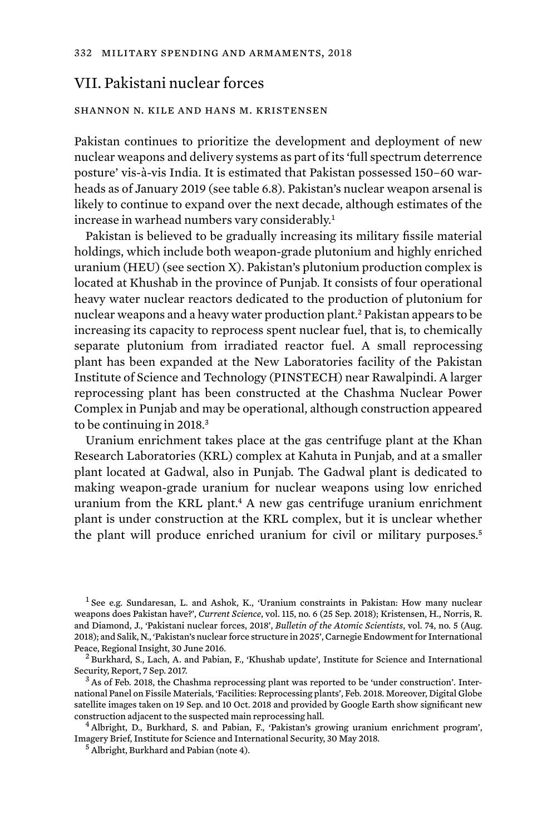# VII. Pakistani nuclear forces

## shannon n. kile and hans m. kristensen

Pakistan continues to prioritize the development and deployment of new nuclear weapons and delivery systems as part of its 'full spectrum deterrence posture' vis-à-vis India. It is estimated that Pakistan possessed 150–60 warheads as of January 2019 (see table 6.8). Pakistan's nuclear weapon arsenal is likely to continue to expand over the next decade, although estimates of the increase in warhead numbers vary considerably.<sup>1</sup>

Pakistan is believed to be gradually increasing its military fissile material holdings, which include both weapon-grade plutonium and highly enriched uranium (HEU) (see section X). Pakistan's plutonium production complex is located at Khushab in the province of Punjab. It consists of four operational heavy water nuclear reactors dedicated to the production of plutonium for nuclear weapons and a heavy water production plant.2 Pakistan appears to be increasing its capacity to reprocess spent nuclear fuel, that is, to chemically separate plutonium from irradiated reactor fuel. A small reprocessing plant has been expanded at the New Laboratories facility of the Pakistan Institute of Science and Technology (PINSTECH) near Rawalpindi. A larger reprocessing plant has been constructed at the Chashma Nuclear Power Complex in Punjab and may be operational, although construction appeared to be continuing in 2018.<sup>3</sup>

Uranium enrichment takes place at the gas centrifuge plant at the Khan Research Laboratories (KRL) complex at Kahuta in Punjab, and at a smaller plant located at Gadwal, also in Punjab. The Gadwal plant is dedicated to making weapon-grade uranium for nuclear weapons using low enriched uranium from the KRL plant.<sup>4</sup> A new gas centrifuge uranium enrichment plant is under construction at the KRL complex, but it is unclear whether the plant will produce enriched uranium for civil or military purposes.<sup>5</sup>

<sup>1</sup> See e.g. Sundaresan, L. and Ashok, K., 'Uranium constraints in Pakistan: How many nuclear weapons does Pakistan have?', *Current Science*, vol. 115, no. 6 (25 Sep. 2018); Kristensen, H., Norris, R. and Diamond, J., 'Pakistani nuclear forces, 2018', *Bulletin of the Atomic Scientists*, vol. 74, no. 5 (Aug. 2018); and Salik, N., 'Pakistan's nuclear force structure in 2025', Carnegie Endowment for International Peace, Regional Insight, 30 June 2016.<br><sup>2</sup> Burkhard, S., Lach, A. and Pabian, F., 'Khushab update', Institute for Science and International

Security, Report, 7 Sep. 2017.<br><sup>3</sup> As of Feb. 2018, the Chashma reprocessing plant was reported to be 'under construction'. Inter-

national Panel on Fissile Materials, 'Facilities: Reprocessing plants', Feb. 2018. Moreover, Digital Globe satellite images taken on 19 Sep. and 10 Oct. 2018 and provided by Google Earth show significant new<br>construction adjacent to the suspected main reprocessing hall.

 $4$  Albright, D., Burkhard, S. and Pabian, F., 'Pakistan's growing uranium enrichment program', Imagery Brief, Institute for Science and International Security, 30 May 2018. <sup>5</sup> Albright, Burkhard and Pabian (note 4).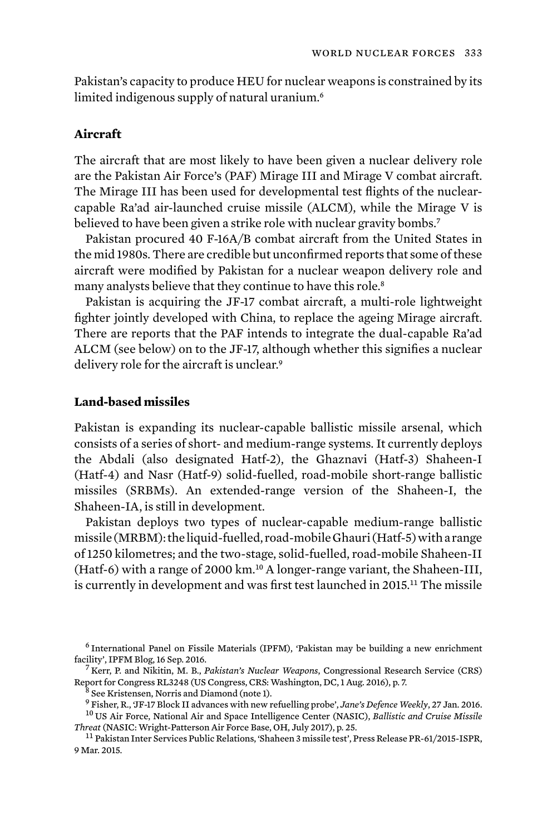Pakistan's capacity to produce HEU for nuclear weapons is constrained by its limited indigenous supply of natural uranium.<sup>6</sup>

## **Aircraft**

The aircraft that are most likely to have been given a nuclear delivery role are the Pakistan Air Force's (PAF) Mirage III and Mirage V combat aircraft. The Mirage III has been used for developmental test flights of the nuclearcapable Ra'ad air-launched cruise missile (ALCM), while the Mirage V is believed to have been given a strike role with nuclear gravity bombs.<sup>7</sup>

Pakistan procured 40 F-16A/B combat aircraft from the United States in the mid 1980s. There are credible but unconfirmed reports that some of these aircraft were modified by Pakistan for a nuclear weapon delivery role and many analysts believe that they continue to have this role.<sup>8</sup>

Pakistan is acquiring the JF-17 combat aircraft, a multi-role lightweight fighter jointly developed with China, to replace the ageing Mirage aircraft. There are reports that the PAF intends to integrate the dual-capable Ra'ad ALCM (see below) on to the JF-17, although whether this signifies a nuclear delivery role for the aircraft is unclear.<sup>9</sup>

# **Land-based missiles**

Pakistan is expanding its nuclear-capable ballistic missile arsenal, which consists of a series of short- and medium-range systems. It currently deploys the Abdali (also designated Hatf-2), the Ghaznavi (Hatf-3) Shaheen-I (Hatf-4) and Nasr (Hatf-9) solid-fuelled, road-mobile short-range ballistic missiles (SRBMs). An extended-range version of the Shaheen-I, the Shaheen-IA, is still in development.

Pakistan deploys two types of nuclear-capable medium-range ballistic missile (MRBM): the liquid-fuelled, road-mobile Ghauri (Hatf-5) with a range of 1250 kilometres; and the two-stage, solid-fuelled, road-mobile Shaheen-II (Hatf-6) with a range of 2000 km.<sup>10</sup> A longer-range variant, the Shaheen-III, is currently in development and was first test launched in 2015.11 The missile

 $^6$  International Panel on Fissile Materials (IPFM), 'Pakistan may be building a new enrichment facility', IPFM Blog, 16 Sep. 2016.

<sup>&</sup>lt;sup>7</sup> Kerr, P. and Nikitin, M. B., *Pakistan's Nuclear Weapons*, Congressional Research Service (CRS) Report for Congress RL3248 (US Congress, CRS: Washington, DC, 1 Aug. 2016), p. 7.<br><sup>8</sup> See Kristensen, Norris and Diamond (note 1).<br><sup>9</sup> Fisher. R., 'JF-17 Block II advances with new refuelling probe', *Jane's Defence Weekly* 

<sup>&</sup>lt;sup>10</sup> US Air Force, National Air and Space Intelligence Center (NASIC), *Ballistic and Cruise Missile* 

*Threat* (NASIC: Wright-Patterson Air Force Base, OH, July 2017), p. 25. <sup>11</sup> Pakistan Inter Services Public Relations, 'Shaheen 3 missile test', Press Release PR-61/2015-ISPR,

<sup>9</sup> Mar. 2015.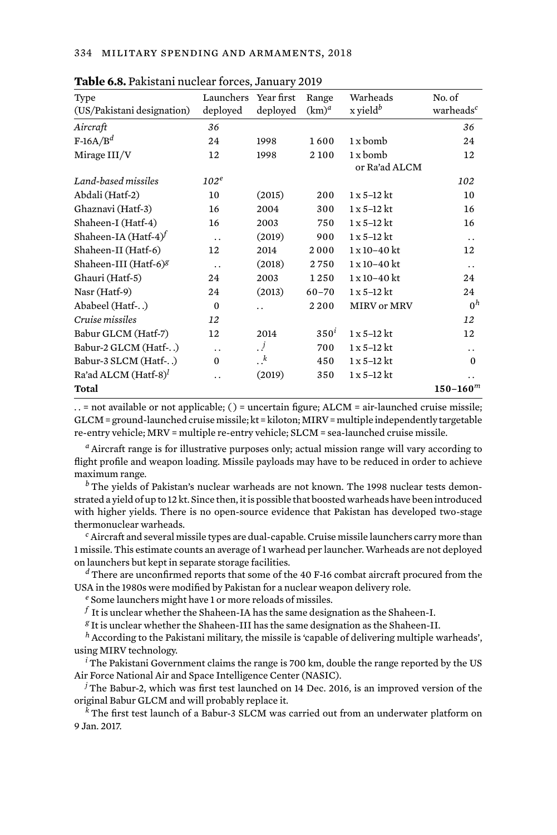| Type<br>(US/Pakistani designation) | Launchers Year first<br>deployed | deployed             | Range<br>$(km)^a$ | Warheads<br>$x$ yield <sup>b</sup> | No. of<br>warheads <sup>c</sup> |
|------------------------------------|----------------------------------|----------------------|-------------------|------------------------------------|---------------------------------|
| Aircraft                           | 36                               |                      |                   |                                    | 36                              |
| $F-16A/Bd$                         | 24                               | 1998                 | 1600              | $1x$ bomb                          | 24                              |
| Mirage III/V                       | 12                               | 1998                 | 2 1 0 0           | $1x$ bomb                          | 12                              |
|                                    |                                  |                      |                   | or Ra'ad ALCM                      |                                 |
| Land-based missiles                | $102^e$                          |                      |                   |                                    | 102                             |
| Abdali (Hatf-2)                    | 10                               | (2015)               | 200               | $1 \times 5 - 12$ kt               | 10                              |
| Ghaznavi (Hatf-3)                  | 16                               | 2004                 | 300               | $1 \times 5 - 12$ kt               | 16                              |
| Shaheen-I (Hatf-4)                 | 16                               | 2003                 | 750               | $1 \times 5 - 12$ kt               | 16                              |
| Shaheen-IA (Hatf-4) $^f$           | $\ddot{\phantom{0}}$             | (2019)               | 900               | $1 \times 5 - 12$ kt               | $\ddot{\phantom{0}}$            |
| Shaheen-II (Hatf-6)                | 12                               | 2014                 | 2000              | $1 \times 10 - 40$ kt              | 12                              |
| Shaheen-III (Hatf-6) <sup>g</sup>  | $\ddotsc$                        | (2018)               | 2750              | $1 x 10 - 40 k t$                  | $\ddot{\phantom{0}}$            |
| Ghauri (Hatf-5)                    | 24                               | 2003                 | 1250              | 1 x 10-40 kt                       | 24                              |
| Nasr (Hatf-9)                      | 24                               | (2013)               | $60 - 70$         | $1 \times 5 - 12$ kt               | 24                              |
| Ababeel (Hatf-)                    | $\bf{0}$                         | $\ddot{\phantom{0}}$ | 2200              | <b>MIRV</b> or MRV                 | 0 <sup>h</sup>                  |
| Cruise missiles                    | 12                               |                      |                   |                                    | 12                              |
| Babur GLCM (Hatf-7)                | 12                               | 2014                 | $350^i$           | $1 \times 5 - 12$ kt               | 12                              |
| Babur-2 GLCM (Hatf-)               | $\ddot{\phantom{0}}$             | $\cdot$ j            | 700               | $1 \times 5 - 12$ kt               | . .                             |
| Babur-3 SLCM (Hatf-)               | $\bf{0}$                         | $\cdot^k$            | 450               | $1x$ 5-12 kt                       | $\Omega$                        |
| Ra'ad ALCM $(Haff-8)^l$            | . .                              | (2019)               | 350               | $1x$ 5-12 kt                       | . .                             |
| Total                              |                                  |                      |                   |                                    | $150 - 160^m$                   |

**Table 6.8.** Pakistani nuclear forces, January 2019

. . = not available or not applicable; ( ) = uncertain figure; ALCM = air-launched cruise missile; GLCM = ground-launched cruise missile; kt = kiloton; MIRV = multiple independently targetable re-entry vehicle; MRV = multiple re-entry vehicle; SLCM = sea-launched cruise missile.

*<sup>a</sup>* Aircraft range is for illustrative purposes only; actual mission range will vary according to flight profile and weapon loading. Missile payloads may have to be reduced in order to achieve maximum range.

*<sup>b</sup>* The yields of Pakistan's nuclear warheads are not known. The 1998 nuclear tests demonstrated a yield of up to 12 kt. Since then, it is possible that boosted warheads have been introduced with higher yields. There is no open-source evidence that Pakistan has developed two-stage thermonuclear warheads.

*<sup>c</sup>* Aircraft and several missile types are dual-capable. Cruise missile launchers carry more than 1 missile. This estimate counts an average of 1 warhead per launcher. Warheads are not deployed on launchers but kept in separate storage facilities.

*<sup>d</sup>* There are unconfirmed reports that some of the 40 F-16 combat aircraft procured from the USA in the 1980s were modified by Pakistan for a nuclear weapon delivery role.

*<sup>e</sup>* Some launchers might have 1 or more reloads of missiles.

 $^f$  It is unclear whether the Shaheen-IA has the same designation as the Shaheen-I.

*<sup>g</sup>* It is unclear whether the Shaheen-III has the same designation as the Shaheen-II.

*<sup>h</sup>* According to the Pakistani military, the missile is 'capable of delivering multiple warheads', using MIRV technology.

*<sup>i</sup>* The Pakistani Government claims the range is 700 km, double the range reported by the US Air Force National Air and Space Intelligence Center (NASIC).

*<sup>j</sup>* The Babur-2, which was first test launched on 14 Dec. 2016, is an improved version of the original Babur GLCM and will probably replace it.

*<sup>k</sup>* The first test launch of a Babur-3 SLCM was carried out from an underwater platform on 9 Jan. 2017.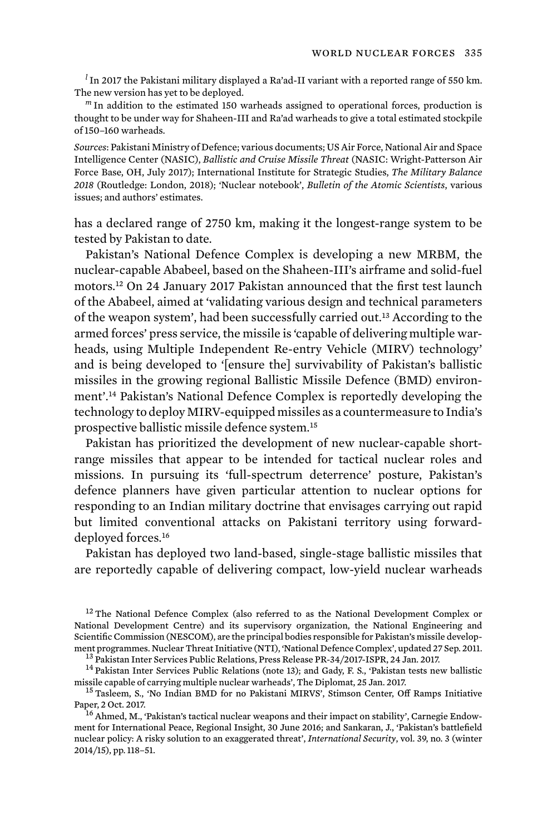*<sup>l</sup>* In 2017 the Pakistani military displayed a Ra'ad-II variant with a reported range of 550 km. The new version has yet to be deployed.

*<sup>m</sup>* In addition to the estimated 150 warheads assigned to operational forces, production is thought to be under way for Shaheen-III and Ra'ad warheads to give a total estimated stockpile of 150–160 warheads.

*Sources*: Pakistani Ministry of Defence; various documents; US Air Force, National Air and Space Intelligence Center (NASIC), *Ballistic and Cruise Missile Threat* (NASIC: Wright-Patterson Air Force Base, OH, July 2017); International Institute for Strategic Studies, *The Military Balance 2018* (Routledge: London, 2018); 'Nuclear notebook', *Bulletin of the Atomic Scientists*, various issues; and authors' estimates.

has a declared range of 2750 km, making it the longest-range system to be tested by Pakistan to date.

Pakistan's National Defence Complex is developing a new MRBM, the nuclear-capable Ababeel, based on the Shaheen-III's airframe and solid-fuel motors.12 On 24 January 2017 Pakistan announced that the first test launch of the Ababeel, aimed at 'validating various design and technical parameters of the weapon system', had been successfully carried out.13 According to the armed forces' press service, the missile is 'capable of delivering multiple warheads, using Multiple Independent Re-entry Vehicle (MIRV) technology' and is being developed to '[ensure the] survivability of Pakistan's ballistic missiles in the growing regional Ballistic Missile Defence (BMD) environment'.14 Pakistan's National Defence Complex is reportedly developing the technology to deploy MIRV-equipped missiles as a countermeasure to India's prospective ballistic missile defence system.<sup>15</sup>

Pakistan has prioritized the development of new nuclear-capable shortrange missiles that appear to be intended for tactical nuclear roles and missions. In pursuing its 'full-spectrum deterrence' posture, Pakistan's defence planners have given particular attention to nuclear options for responding to an Indian military doctrine that envisages carrying out rapid but limited conventional attacks on Pakistani territory using forwarddeployed forces.<sup>16</sup>

Pakistan has deployed two land-based, single-stage ballistic missiles that are reportedly capable of delivering compact, low-yield nuclear warheads

<sup>12</sup> The National Defence Complex (also referred to as the National Development Complex or National Development Centre) and its supervisory organization, the National Engineering and Scientific Commission (NESCOM), are the principal bodies responsible for Pakistan's missile development programmes. Nuclear Threat Initiative (NTI), 'National Defence Complex', updated 27 Sep. 2011.<br><sup>13</sup> Pakistan Inter Services Public Relations, Press Release PR-34/2017-ISPR, 24 Jan. 2017.<br><sup>14</sup> Pakistan Inter Services P

missile capable of carrying multiple nuclear warheads', The Diplomat, 25 Jan. 2017.<br><sup>15</sup> Tasleem, S., 'No Indian BMD for no Pakistani MIRVS', Stimson Center, Off Ramps Initiative

Paper, 2 Oct. 2017.<br><sup>16</sup> Ahmed, M., 'Pakistan's tactical nuclear weapons and their impact on stability', Carnegie Endow-

ment for International Peace, Regional Insight, 30 June 2016; and Sankaran, J., 'Pakistan's battlefield nuclear policy: A risky solution to an exaggerated threat', *International Security*, vol. 39, no. 3 (winter 2014/15), pp. 118–51.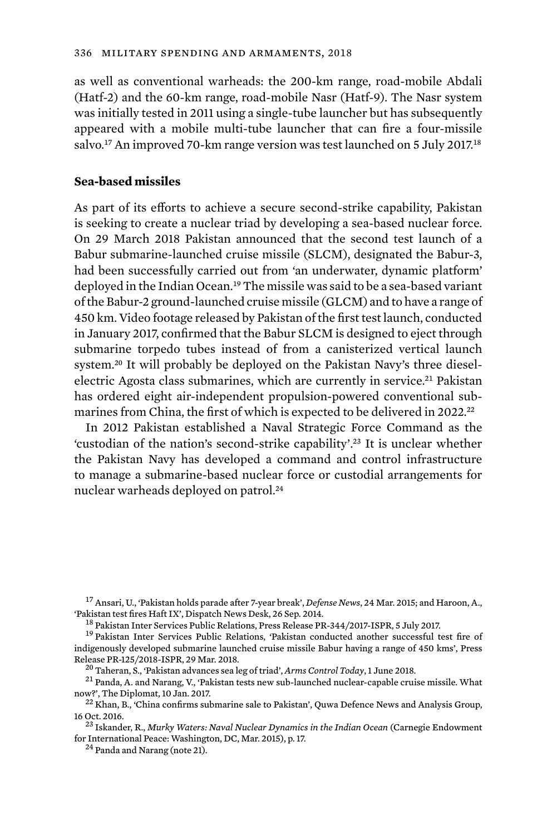as well as conventional warheads: the 200-km range, road-mobile Abdali (Hatf-2) and the 60-km range, road-mobile Nasr (Hatf-9). The Nasr system was initially tested in 2011 using a single-tube launcher but has subsequently appeared with a mobile multi-tube launcher that can fire a four-missile salvo.<sup>17</sup> An improved 70-km range version was test launched on 5 July 2017.<sup>18</sup>

### **Sea-based missiles**

As part of its efforts to achieve a secure second-strike capability, Pakistan is seeking to create a nuclear triad by developing a sea-based nuclear force. On 29 March 2018 Pakistan announced that the second test launch of a Babur submarine-launched cruise missile (SLCM), designated the Babur-3, had been successfully carried out from 'an underwater, dynamic platform' deployed in the Indian Ocean.19 The missile was said to be a sea-based variant of the Babur-2 ground-launched cruise missile (GLCM) and to have a range of 450 km. Video footage released by Pakistan of the first test launch, conducted in January 2017, confirmed that the Babur SLCM is designed to eject through submarine torpedo tubes instead of from a canisterized vertical launch system.20 It will probably be deployed on the Pakistan Navy's three dieselelectric Agosta class submarines, which are currently in service.<sup>21</sup> Pakistan has ordered eight air-independent propulsion-powered conventional submarines from China, the first of which is expected to be delivered in 2022.<sup>22</sup>

In 2012 Pakistan established a Naval Strategic Force Command as the 'custodian of the nation's second-strike capability'.23 It is unclear whether the Pakistan Navy has developed a command and control infrastructure to manage a submarine-based nuclear force or custodial arrangements for nuclear warheads deployed on patrol.<sup>24</sup>

<sup>17</sup> Ansari, U., 'Pakistan holds parade after 7-year break', *Defense News*, 24 Mar. 2015; and Haroon, A.,

now?', The Diplomat, 10 Jan. 2017.<br><sup>22</sup> Khan, B., 'China confirms submarine sale to Pakistan', Quwa Defence News and Analysis Group,

 $^{18}$  Pakistan Inter Services Public Relations, Press Release PR-344/2017-ISPR, 5 July 2017.<br> $^{19}$  Pakistan Inter Services Public Relations, 'Pakistan conducted another successful test fire of indigenously developed submarine launched cruise missile Babur having a range of 450 kms', Press Release PR-125/2018-ISPR, 29 Mar. 2018.<br><sup>20</sup> Taheran, S., 'Pakistan advances sea leg of triad', *Arms Control Today*, 1 June 2018.<br><sup>21</sup> Panda, A. and Narang, V., 'Pakistan tests new sub-launched nuclear-capable cruise miss

<sup>16</sup> Oct. 2016. <sup>23</sup> Iskander, R., *Murky Waters: Naval Nuclear Dynamics in the Indian Ocean* (Carnegie Endowment

for International Peace: Washington, DC, Mar. 2015), p. 17.<br><sup>24</sup> Panda and Narang (note 21).